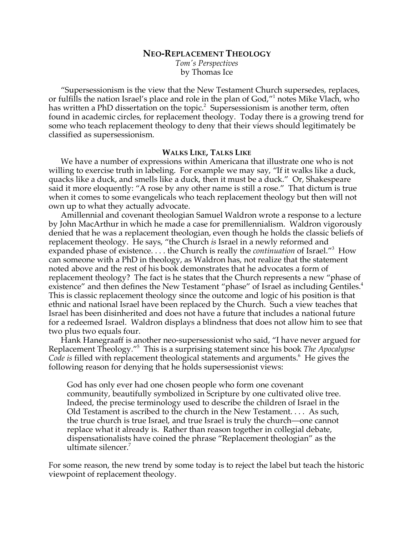# **NEO-REPLACEMENT THEOLOGY**

*Tom's Perspectives* by Thomas Ice

"Supersessionism is the view that the New Testament Church supersedes, replaces, or fulfills the nation Israel's place and role in the plan of God,"1 notes Mike Vlach, who has written a PhD dissertation on the topic.<sup>2</sup> Supersessionism is another term, often found in academic circles, for replacement theology. Today there is a growing trend for some who teach replacement theology to deny that their views should legitimately be classified as supersessionism.

# **WALKS LIKE, TALKS LIKE**

We have a number of expressions within Americana that illustrate one who is not willing to exercise truth in labeling. For example we may say, "If it walks like a duck, quacks like a duck, and smells like a duck, then it must be a duck." Or, Shakespeare said it more eloquently: "A rose by any other name is still a rose." That dictum is true when it comes to some evangelicals who teach replacement theology but then will not own up to what they actually advocate.

Amillennial and covenant theologian Samuel Waldron wrote a response to a lecture by John MacArthur in which he made a case for premillennialism. Waldron vigorously denied that he was a replacement theologian, even though he holds the classic beliefs of replacement theology. He says, "the Church *is* Israel in a newly reformed and expanded phase of existence. . . . the Church is really the *continuation* of Israel."3 How can someone with a PhD in theology, as Waldron has, not realize that the statement noted above and the rest of his book demonstrates that he advocates a form of replacement theology? The fact is he states that the Church represents a new "phase of existence" and then defines the New Testament "phase" of Israel as including Gentiles.<sup>4</sup> This is classic replacement theology since the outcome and logic of his position is that ethnic and national Israel have been replaced by the Church. Such a view teaches that Israel has been disinherited and does not have a future that includes a national future for a redeemed Israel. Waldron displays a blindness that does not allow him to see that two plus two equals four.

Hank Hanegraaff is another neo-supersessionist who said, "I have never argued for Replacement Theology."5 This is a surprising statement since his book *The Apocalypse*  Code is filled with replacement theological statements and arguments.<sup>6</sup> He gives the following reason for denying that he holds supersessionist views:

God has only ever had one chosen people who form one covenant community, beautifully symbolized in Scripture by one cultivated olive tree. Indeed, the precise terminology used to describe the children of Israel in the Old Testament is ascribed to the church in the New Testament. . . . As such, the true church is true Israel, and true Israel is truly the church—one cannot replace what it already is. Rather than reason together in collegial debate, dispensationalists have coined the phrase "Replacement theologian" as the ultimate silencer. $7$ 

For some reason, the new trend by some today is to reject the label but teach the historic viewpoint of replacement theology.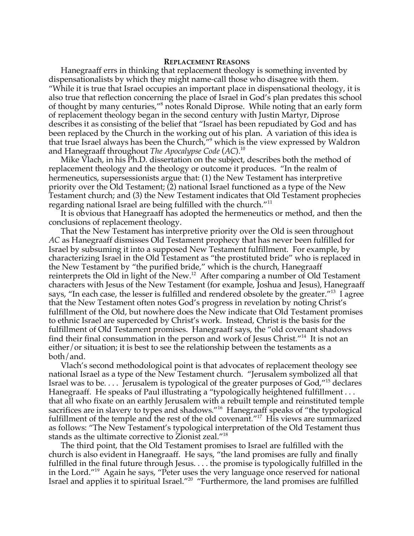### **REPLACEMENT REASONS**

Hanegraaff errs in thinking that replacement theology is something invented by dispensationalists by which they might name-call those who disagree with them. "While it is true that Israel occupies an important place in dispensational theology, it is also true that reflection concerning the place of Israel in God's plan predates this school of thought by many centuries,"<sup>8</sup> notes Ronald Diprose. While noting that an early form of replacement theology began in the second century with Justin Martyr, Diprose describes it as consisting of the belief that "Israel has been repudiated by God and has been replaced by the Church in the working out of his plan. A variation of this idea is that true Israel always has been the Church,"<sup>9</sup> which is the view expressed by Waldron and Hanegraaff throughout *The Apocalypse Code* (*AC*).10

Mike Vlach, in his Ph.D. dissertation on the subject, describes both the method of replacement theology and the theology or outcome it produces. "In the realm of hermeneutics, supersessionists argue that: (1) the New Testament has interpretive priority over the Old Testament; (2) national Israel functioned as a type of the New Testament church; and (3) the New Testament indicates that Old Testament prophecies regarding national Israel are being fulfilled with the church."<sup>11</sup>

It is obvious that Hanegraaff has adopted the hermeneutics or method, and then the conclusions of replacement theology.

That the New Testament has interpretive priority over the Old is seen throughout *AC* as Hanegraaff dismisses Old Testament prophecy that has never been fulfilled for Israel by subsuming it into a supposed New Testament fulfillment. For example, by characterizing Israel in the Old Testament as "the prostituted bride" who is replaced in the New Testament by "the purified bride," which is the church, Hanegraaff reinterprets the Old in light of the New.<sup>12</sup> After comparing a number of Old Testament characters with Jesus of the New Testament (for example, Joshua and Jesus), Hanegraaff says, "In each case, the lesser is fulfilled and rendered obsolete by the greater."<sup>13</sup> I agree that the New Testament often notes God's progress in revelation by noting Christ's fulfillment of the Old, but nowhere does the New indicate that Old Testament promises to ethnic Israel are superceded by Christ's work. Instead, Christ is the basis for the fulfillment of Old Testament promises. Hanegraaff says, the "old covenant shadows find their final consummation in the person and work of Jesus Christ."14 It is not an either/or situation; it is best to see the relationship between the testaments as a both/and.

Vlach's second methodological point is that advocates of replacement theology see national Israel as a type of the New Testament church. "Jerusalem symbolized all that Israel was to be.... Jerusalem is typological of the greater purposes of  $God,"<sup>15</sup> declares$ Hanegraaff. He speaks of Paul illustrating a "typologically heightened fulfillment... that all who fixate on an earthly Jerusalem with a rebuilt temple and reinstituted temple sacrifices are in slavery to types and shadows."<sup>16</sup> Hanegraaff speaks of "the typological fulfillment of the temple and the rest of the old covenant."<sup>17</sup> His views are summarized as follows: "The New Testament's typological interpretation of the Old Testament thus stands as the ultimate corrective to Zionist zeal."18

The third point, that the Old Testament promises to Israel are fulfilled with the church is also evident in Hanegraaff. He says, "the land promises are fully and finally fulfilled in the final future through Jesus. . . . the promise is typologically fulfilled in the in the Lord."19 Again he says, "Peter uses the very language once reserved for national Israel and applies it to spiritual Israel."20 "Furthermore, the land promises are fulfilled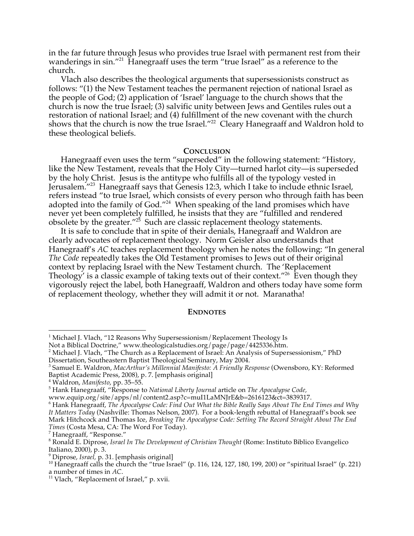in the far future through Jesus who provides true Israel with permanent rest from their wanderings in sin."<sup>21</sup> Hanegraaff uses the term "true Israel" as a reference to the church.

Vlach also describes the theological arguments that supersessionists construct as follows: "(1) the New Testament teaches the permanent rejection of national Israel as the people of God; (2) application of 'Israel' language to the church shows that the church is now the true Israel; (3) salvific unity between Jews and Gentiles rules out a restoration of national Israel; and (4) fulfillment of the new covenant with the church shows that the church is now the true Israel."<sup>22</sup> Cleary Hanegraaff and Waldron hold to these theological beliefs.

#### **CONCLUSION**

Hanegraaff even uses the term "superseded" in the following statement: "History, like the New Testament, reveals that the Holy City—turned harlot city—is superseded by the holy Christ. Jesus is the antitype who fulfills all of the typology vested in Jerusalem."23 Hanegraaff says that Genesis 12:3, which I take to include ethnic Israel, refers instead "to true Israel, which consists of every person who through faith has been adopted into the family of God."<sup>24</sup> When speaking of the land promises which have never yet been completely fulfilled, he insists that they are "fulfilled and rendered obsolete by the greater."<sup>25</sup> Such are classic replacement theology statements.

It is safe to conclude that in spite of their denials, Hanegraaff and Waldron are clearly advocates of replacement theology. Norm Geisler also understands that Hanegraaff's *AC* teaches replacement theology when he notes the following: "In general *The Code* repeatedly takes the Old Testament promises to Jews out of their original context by replacing Israel with the New Testament church. The 'Replacement Theology' is a classic example of taking texts out of their context."<sup>26</sup> Even though they vigorously reject the label, both Hanegraaff, Waldron and others today have some form of replacement theology, whether they will admit it or not. Maranatha!

# **ENDNOTES**

 $\frac{1}{1}$ <sup>1</sup> Michael J. Vlach, "12 Reasons Why Supersessionism/Replacement Theology Is

Not a Biblical Doctrine," www.theologicalstudies.org/page/page/4425336.htm.

<sup>&</sup>lt;sup>2</sup> Michael J. Vlach, "The Church as a Replacement of Israel: An Analysis of Supersessionism," PhD Dissertation, Southeastern Baptist Theological Seminary, May 2004.

<sup>3</sup> Samuel E. Waldron, *MacArthur's Millennial Manifesto: A Friendly Response* (Owensboro, KY: Reformed Baptist Academic Press, 2008), p. 7. [emphasis original]

<sup>&</sup>lt;sup>4</sup> Waldron*, Manifesto,* pp. 35–55.<br><sup>5</sup> Hank Hanograaff, "Bosponse t

Hank Hanegraaff, "Response to *National Liberty Journal* article on *The Apocalypse Code,*

www.equip.org/site/apps/nl/content2.asp?c=muI1LaMNJrE&b=2616123&ct=3839317.

<sup>6</sup> Hank Hanegraaff, *The Apocalypse Code: Find Out What the Bible Really Says About The End Times and Why It Matters Today* (Nashville: Thomas Nelson, 2007). For a book-length rebuttal of Hanegraaff's book see Mark Hitchcock and Thomas Ice, *Breaking The Apocalypse Code: Setting The Record Straight About The End Times* (Costa Mesa, CA: The Word For Today).

<sup>&</sup>lt;sup>7</sup> Hanegraaff, "Response."

Ronald E. Diprose, *Israel In The Development of Christian Thought* (Rome: Instituto Biblico Evangelico Italiano, 2000), p. 3.

<sup>&</sup>lt;sup>9</sup> Diprose, Israel, p. 31. [emphasis original]

<sup>&</sup>lt;sup>10</sup> Hanegraaff calls the church the "true Israel" (p. 116, 124, 127, 180, 199, 200) or "spiritual Israel" (p. 221) a number of times in *AC*.<br><sup>11</sup> Vlach, "Replacement of Israel," p. xvii.